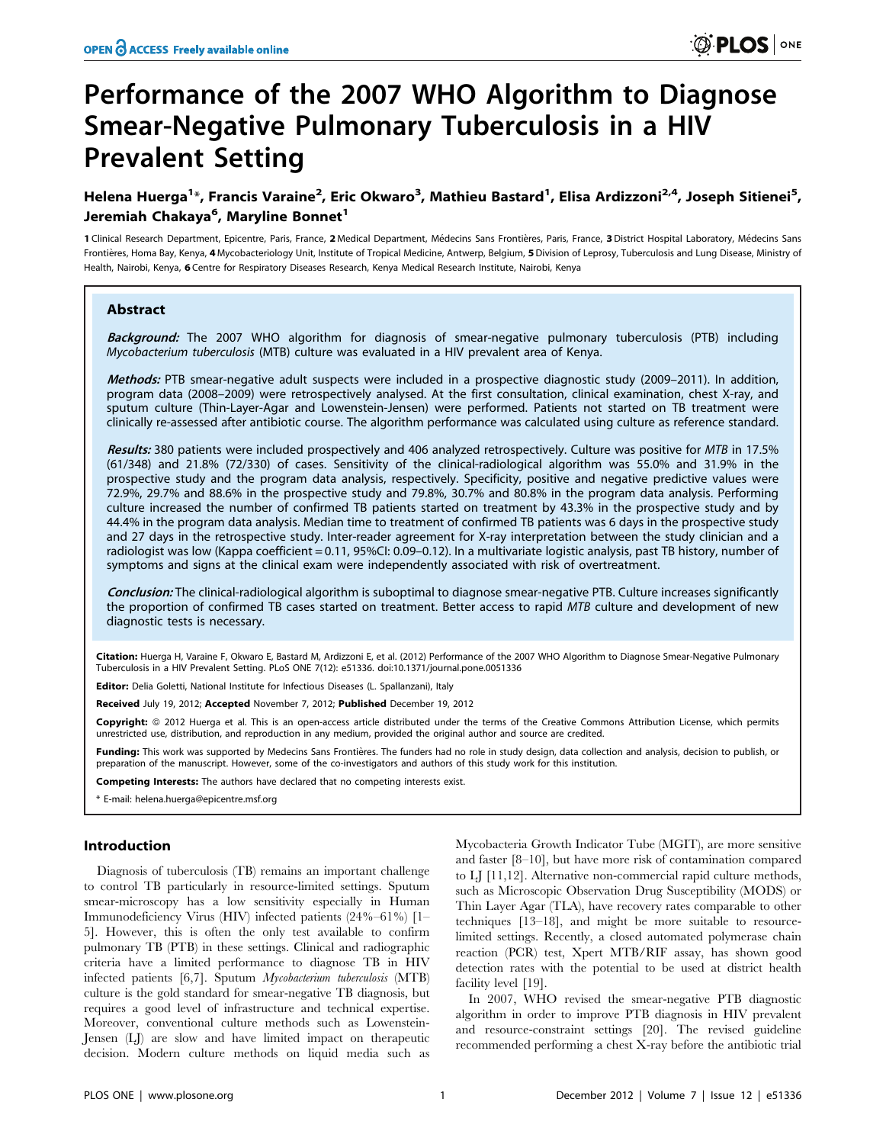# Performance of the 2007 WHO Algorithm to Diagnose Smear-Negative Pulmonary Tuberculosis in a HIV Prevalent Setting

# Helena Huerga<sup>1</sup>\*, Francis Varaine<sup>2</sup>, Eric Okwaro<sup>3</sup>, Mathieu Bastard<sup>1</sup>, Elisa Ardizzoni<sup>2,4</sup>, Joseph Sitienei<sup>5</sup>, Jeremiah Chakaya<sup>6</sup>, Maryline Bonnet<sup>1</sup>

1 Clinical Research Department, Epicentre, Paris, France, 2 Medical Department, Médecins Sans Frontières, Paris, France, 3 District Hospital Laboratory, Médecins Sans Frontières, Homa Bay, Kenya, 4 Mycobacteriology Unit, Institute of Tropical Medicine, Antwerp, Belgium, 5 Division of Leprosy, Tuberculosis and Lung Disease, Ministry of Health, Nairobi, Kenya, 6 Centre for Respiratory Diseases Research, Kenya Medical Research Institute, Nairobi, Kenya

#### Abstract

Background: The 2007 WHO algorithm for diagnosis of smear-negative pulmonary tuberculosis (PTB) including Mycobacterium tuberculosis (MTB) culture was evaluated in a HIV prevalent area of Kenya.

Methods: PTB smear-negative adult suspects were included in a prospective diagnostic study (2009–2011). In addition, program data (2008–2009) were retrospectively analysed. At the first consultation, clinical examination, chest X-ray, and sputum culture (Thin-Layer-Agar and Lowenstein-Jensen) were performed. Patients not started on TB treatment were clinically re-assessed after antibiotic course. The algorithm performance was calculated using culture as reference standard.

Results: 380 patients were included prospectively and 406 analyzed retrospectively. Culture was positive for MTB in 17.5% (61/348) and 21.8% (72/330) of cases. Sensitivity of the clinical-radiological algorithm was 55.0% and 31.9% in the prospective study and the program data analysis, respectively. Specificity, positive and negative predictive values were 72.9%, 29.7% and 88.6% in the prospective study and 79.8%, 30.7% and 80.8% in the program data analysis. Performing culture increased the number of confirmed TB patients started on treatment by 43.3% in the prospective study and by 44.4% in the program data analysis. Median time to treatment of confirmed TB patients was 6 days in the prospective study and 27 days in the retrospective study. Inter-reader agreement for X-ray interpretation between the study clinician and a radiologist was low (Kappa coefficient = 0.11, 95%CI: 0.09–0.12). In a multivariate logistic analysis, past TB history, number of symptoms and signs at the clinical exam were independently associated with risk of overtreatment.

Conclusion: The clinical-radiological algorithm is suboptimal to diagnose smear-negative PTB. Culture increases significantly the proportion of confirmed TB cases started on treatment. Better access to rapid MTB culture and development of new diagnostic tests is necessary.

Citation: Huerga H, Varaine F, Okwaro E, Bastard M, Ardizzoni E, et al. (2012) Performance of the 2007 WHO Algorithm to Diagnose Smear-Negative Pulmonary Tuberculosis in a HIV Prevalent Setting. PLoS ONE 7(12): e51336. doi:10.1371/journal.pone.0051336

Editor: Delia Goletti, National Institute for Infectious Diseases (L. Spallanzani), Italy

Received July 19, 2012; Accepted November 7, 2012; Published December 19, 2012

Copyright: © 2012 Huerga et al. This is an open-access article distributed under the terms of the Creative Commons Attribution License, which permits unrestricted use, distribution, and reproduction in any medium, provided the original author and source are credited.

Funding: This work was supported by Medecins Sans Frontières. The funders had no role in study design, data collection and analysis, decision to publish, or preparation of the manuscript. However, some of the co-investigators and authors of this study work for this institution.

Competing Interests: The authors have declared that no competing interests exist.

\* E-mail: helena.huerga@epicentre.msf.org

# Introduction

Diagnosis of tuberculosis (TB) remains an important challenge to control TB particularly in resource-limited settings. Sputum smear-microscopy has a low sensitivity especially in Human Immunodeficiency Virus (HIV) infected patients (24%–61%) [1– 5]. However, this is often the only test available to confirm pulmonary TB (PTB) in these settings. Clinical and radiographic criteria have a limited performance to diagnose TB in HIV infected patients [6,7]. Sputum Mycobacterium tuberculosis (MTB) culture is the gold standard for smear-negative TB diagnosis, but requires a good level of infrastructure and technical expertise. Moreover, conventional culture methods such as Lowenstein-Jensen (LJ) are slow and have limited impact on therapeutic decision. Modern culture methods on liquid media such as

Mycobacteria Growth Indicator Tube (MGIT), are more sensitive and faster [8–10], but have more risk of contamination compared to LJ [11,12]. Alternative non-commercial rapid culture methods, such as Microscopic Observation Drug Susceptibility (MODS) or Thin Layer Agar (TLA), have recovery rates comparable to other techniques [13–18], and might be more suitable to resourcelimited settings. Recently, a closed automated polymerase chain reaction (PCR) test, Xpert MTB/RIF assay, has shown good detection rates with the potential to be used at district health facility level [19].

In 2007, WHO revised the smear-negative PTB diagnostic algorithm in order to improve PTB diagnosis in HIV prevalent and resource-constraint settings [20]. The revised guideline recommended performing a chest X-ray before the antibiotic trial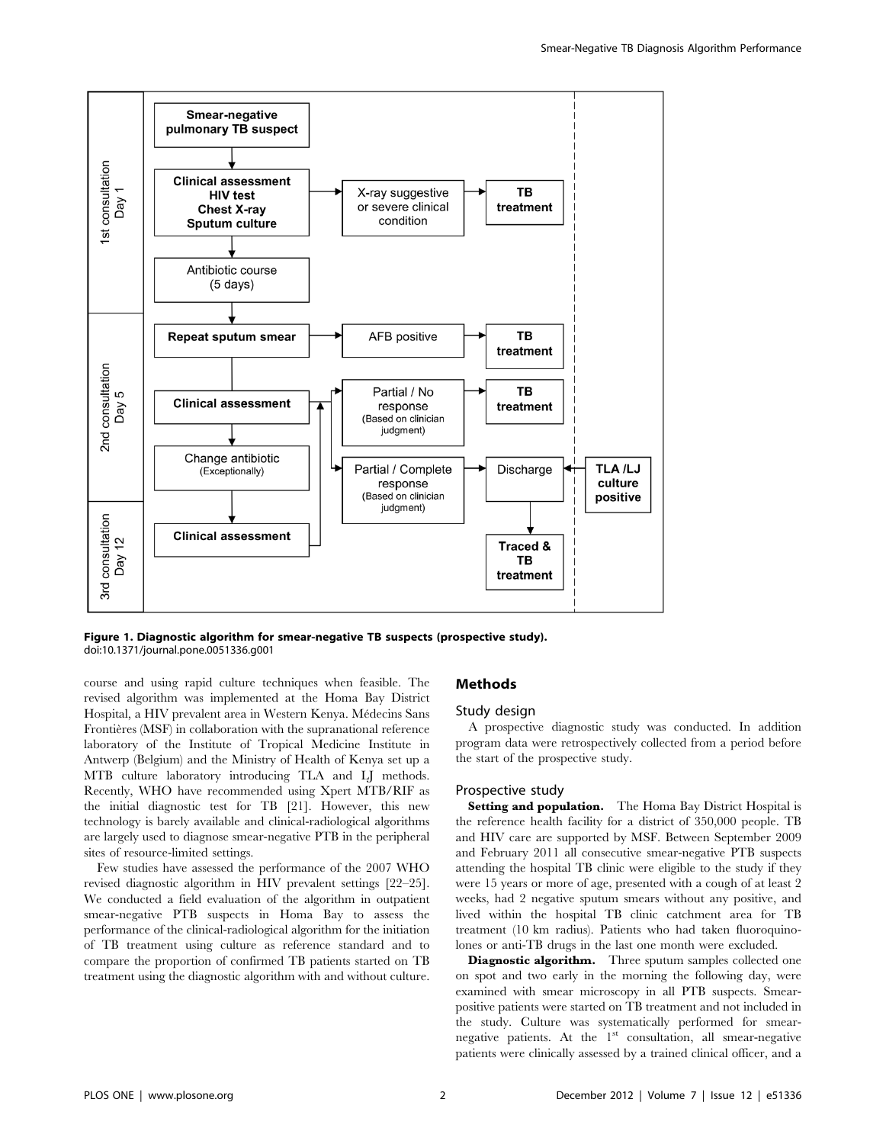

Figure 1. Diagnostic algorithm for smear-negative TB suspects (prospective study). doi:10.1371/journal.pone.0051336.g001

course and using rapid culture techniques when feasible. The revised algorithm was implemented at the Homa Bay District Hospital, a HIV prevalent area in Western Kenya. Médecins Sans Frontières (MSF) in collaboration with the supranational reference laboratory of the Institute of Tropical Medicine Institute in Antwerp (Belgium) and the Ministry of Health of Kenya set up a MTB culture laboratory introducing TLA and LJ methods. Recently, WHO have recommended using Xpert MTB/RIF as the initial diagnostic test for TB [21]. However, this new technology is barely available and clinical-radiological algorithms are largely used to diagnose smear-negative PTB in the peripheral sites of resource-limited settings.

Few studies have assessed the performance of the 2007 WHO revised diagnostic algorithm in HIV prevalent settings [22–25]. We conducted a field evaluation of the algorithm in outpatient smear-negative PTB suspects in Homa Bay to assess the performance of the clinical-radiological algorithm for the initiation of TB treatment using culture as reference standard and to compare the proportion of confirmed TB patients started on TB treatment using the diagnostic algorithm with and without culture.

#### Methods

## Study design

A prospective diagnostic study was conducted. In addition program data were retrospectively collected from a period before the start of the prospective study.

# Prospective study

Setting and population. The Homa Bay District Hospital is the reference health facility for a district of 350,000 people. TB and HIV care are supported by MSF. Between September 2009 and February 2011 all consecutive smear-negative PTB suspects attending the hospital TB clinic were eligible to the study if they were 15 years or more of age, presented with a cough of at least 2 weeks, had 2 negative sputum smears without any positive, and lived within the hospital TB clinic catchment area for TB treatment (10 km radius). Patients who had taken fluoroquinolones or anti-TB drugs in the last one month were excluded.

Diagnostic algorithm. Three sputum samples collected one on spot and two early in the morning the following day, were examined with smear microscopy in all PTB suspects. Smearpositive patients were started on TB treatment and not included in the study. Culture was systematically performed for smearnegative patients. At the 1<sup>st</sup> consultation, all smear-negative patients were clinically assessed by a trained clinical officer, and a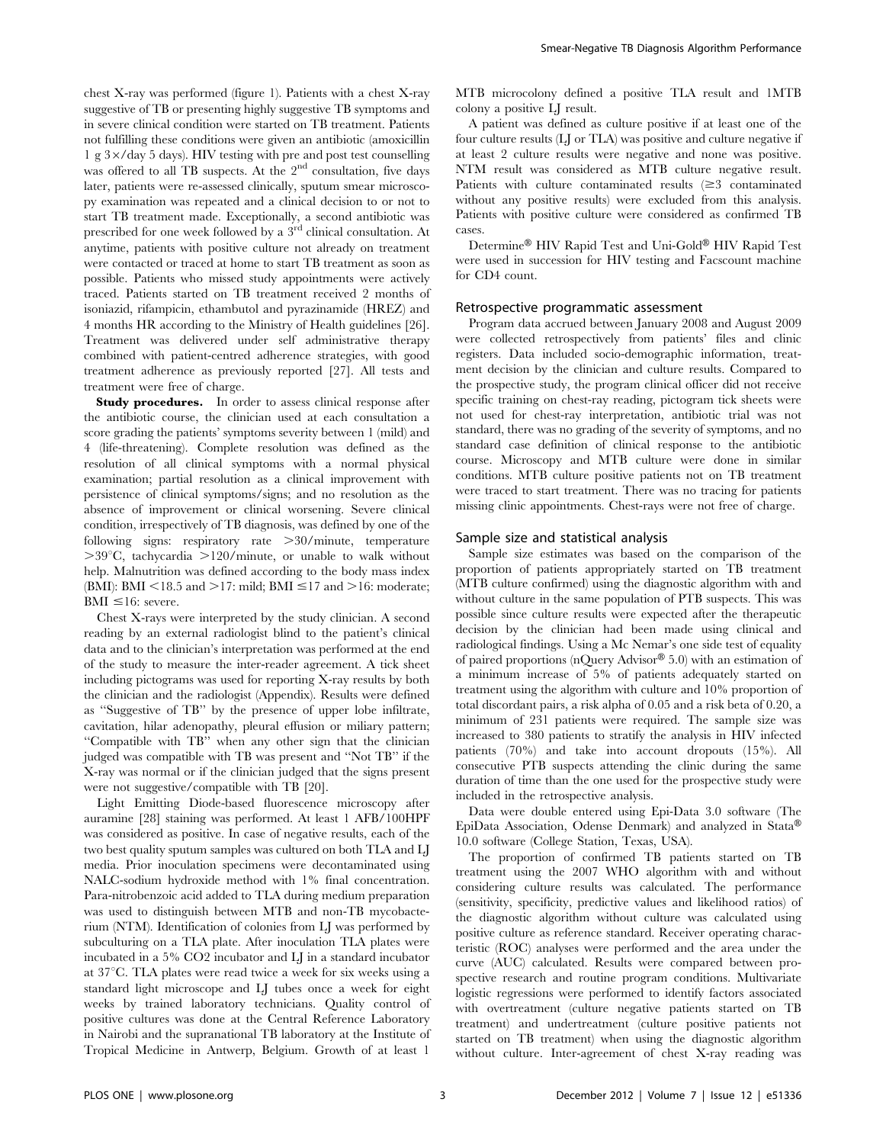chest X-ray was performed (figure 1). Patients with a chest X-ray suggestive of TB or presenting highly suggestive TB symptoms and in severe clinical condition were started on TB treatment. Patients not fulfilling these conditions were given an antibiotic (amoxicillin 1 g  $3 \times$ /day 5 days). HIV testing with pre and post test counselling was offered to all TB suspects. At the 2<sup>nd</sup> consultation, five days later, patients were re-assessed clinically, sputum smear microscopy examination was repeated and a clinical decision to or not to start TB treatment made. Exceptionally, a second antibiotic was prescribed for one week followed by a 3rd clinical consultation. At anytime, patients with positive culture not already on treatment were contacted or traced at home to start TB treatment as soon as possible. Patients who missed study appointments were actively traced. Patients started on TB treatment received 2 months of isoniazid, rifampicin, ethambutol and pyrazinamide (HREZ) and 4 months HR according to the Ministry of Health guidelines [26]. Treatment was delivered under self administrative therapy combined with patient-centred adherence strategies, with good treatment adherence as previously reported [27]. All tests and treatment were free of charge.

Study procedures. In order to assess clinical response after the antibiotic course, the clinician used at each consultation a score grading the patients' symptoms severity between 1 (mild) and 4 (life-threatening). Complete resolution was defined as the resolution of all clinical symptoms with a normal physical examination; partial resolution as a clinical improvement with persistence of clinical symptoms/signs; and no resolution as the absence of improvement or clinical worsening. Severe clinical condition, irrespectively of TB diagnosis, was defined by one of the following signs: respiratory rate  $>30/m$ inute, temperature  $>39^{\circ}$ C, tachycardia  $>120/m$ inute, or unable to walk without help. Malnutrition was defined according to the body mass index (BMI): BMI <18.5 and >17: mild; BMI  $\leq$ 17 and >16: moderate;  $BMI \leq 16$ : severe.

Chest X-rays were interpreted by the study clinician. A second reading by an external radiologist blind to the patient's clinical data and to the clinician's interpretation was performed at the end of the study to measure the inter-reader agreement. A tick sheet including pictograms was used for reporting X-ray results by both the clinician and the radiologist (Appendix). Results were defined as ''Suggestive of TB'' by the presence of upper lobe infiltrate, cavitation, hilar adenopathy, pleural effusion or miliary pattern; ''Compatible with TB'' when any other sign that the clinician judged was compatible with TB was present and ''Not TB'' if the X-ray was normal or if the clinician judged that the signs present were not suggestive/compatible with TB [20].

Light Emitting Diode-based fluorescence microscopy after auramine [28] staining was performed. At least 1 AFB/100HPF was considered as positive. In case of negative results, each of the two best quality sputum samples was cultured on both TLA and LJ media. Prior inoculation specimens were decontaminated using NALC-sodium hydroxide method with 1% final concentration. Para-nitrobenzoic acid added to TLA during medium preparation was used to distinguish between MTB and non-TB mycobacterium (NTM). Identification of colonies from LJ was performed by subculturing on a TLA plate. After inoculation TLA plates were incubated in a 5% CO2 incubator and LJ in a standard incubator at 37°C. TLA plates were read twice a week for six weeks using a standard light microscope and LJ tubes once a week for eight weeks by trained laboratory technicians. Quality control of positive cultures was done at the Central Reference Laboratory in Nairobi and the supranational TB laboratory at the Institute of Tropical Medicine in Antwerp, Belgium. Growth of at least 1

MTB microcolony defined a positive TLA result and 1MTB colony a positive LJ result.

A patient was defined as culture positive if at least one of the four culture results (LJ or TLA) was positive and culture negative if at least 2 culture results were negative and none was positive. NTM result was considered as MTB culture negative result. Patients with culture contaminated results  $(\geq 3$  contaminated without any positive results) were excluded from this analysis. Patients with positive culture were considered as confirmed TB cases.

Determine® HIV Rapid Test and Uni-Gold® HIV Rapid Test were used in succession for HIV testing and Facscount machine for CD4 count.

# Retrospective programmatic assessment

Program data accrued between January 2008 and August 2009 were collected retrospectively from patients' files and clinic registers. Data included socio-demographic information, treatment decision by the clinician and culture results. Compared to the prospective study, the program clinical officer did not receive specific training on chest-ray reading, pictogram tick sheets were not used for chest-ray interpretation, antibiotic trial was not standard, there was no grading of the severity of symptoms, and no standard case definition of clinical response to the antibiotic course. Microscopy and MTB culture were done in similar conditions. MTB culture positive patients not on TB treatment were traced to start treatment. There was no tracing for patients missing clinic appointments. Chest-rays were not free of charge.

#### Sample size and statistical analysis

Sample size estimates was based on the comparison of the proportion of patients appropriately started on TB treatment (MTB culture confirmed) using the diagnostic algorithm with and without culture in the same population of PTB suspects. This was possible since culture results were expected after the therapeutic decision by the clinician had been made using clinical and radiological findings. Using a Mc Nemar's one side test of equality of paired proportions (nQuery Advisor $\mathcal{B}$  5.0) with an estimation of a minimum increase of 5% of patients adequately started on treatment using the algorithm with culture and 10% proportion of total discordant pairs, a risk alpha of 0.05 and a risk beta of 0.20, a minimum of 231 patients were required. The sample size was increased to 380 patients to stratify the analysis in HIV infected patients (70%) and take into account dropouts (15%). All consecutive PTB suspects attending the clinic during the same duration of time than the one used for the prospective study were included in the retrospective analysis.

Data were double entered using Epi-Data 3.0 software (The EpiData Association, Odense Denmark) and analyzed in Stata® 10.0 software (College Station, Texas, USA).

The proportion of confirmed TB patients started on TB treatment using the 2007 WHO algorithm with and without considering culture results was calculated. The performance (sensitivity, specificity, predictive values and likelihood ratios) of the diagnostic algorithm without culture was calculated using positive culture as reference standard. Receiver operating characteristic (ROC) analyses were performed and the area under the curve (AUC) calculated. Results were compared between prospective research and routine program conditions. Multivariate logistic regressions were performed to identify factors associated with overtreatment (culture negative patients started on TB treatment) and undertreatment (culture positive patients not started on TB treatment) when using the diagnostic algorithm without culture. Inter-agreement of chest X-ray reading was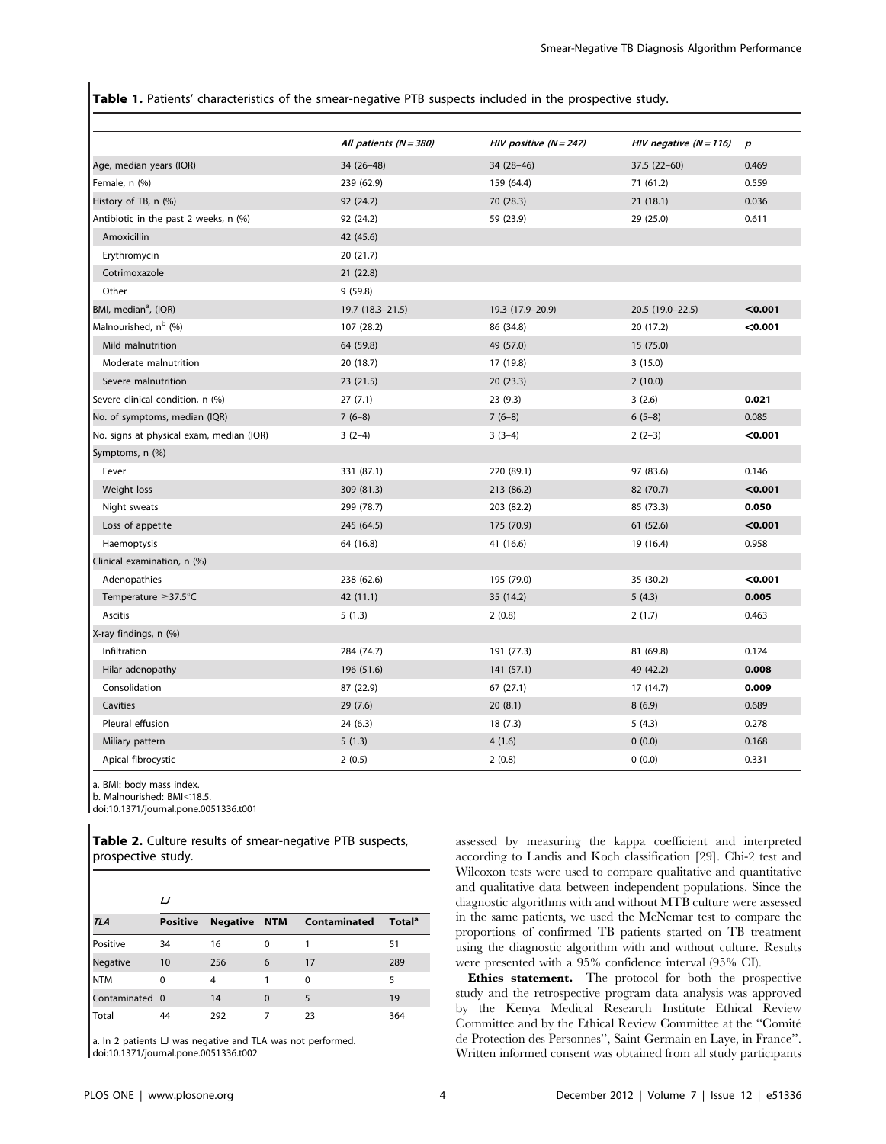Table 1. Patients' characteristics of the smear-negative PTB suspects included in the prospective study.

|                                          | All patients $(N = 380)$ | HIV positive $(N = 247)$ | HIV negative $(N = 116)$ | $\boldsymbol{p}$ |
|------------------------------------------|--------------------------|--------------------------|--------------------------|------------------|
| Age, median years (IQR)                  | $34(26-48)$              | 34 (28-46)               | $37.5(22-60)$            | 0.469            |
| Female, n (%)                            | 239 (62.9)               | 159 (64.4)               | 71 (61.2)                | 0.559            |
|                                          |                          |                          |                          | 0.036            |
| History of TB, n (%)                     | 92 (24.2)<br>92 (24.2)   | 70 (28.3)<br>59 (23.9)   | 21(18.1)<br>29 (25.0)    | 0.611            |
| Antibiotic in the past 2 weeks, n (%)    |                          |                          |                          |                  |
| Amoxicillin                              | 42 (45.6)                |                          |                          |                  |
| Erythromycin                             | 20(21.7)                 |                          |                          |                  |
| Cotrimoxazole                            | 21(22.8)                 |                          |                          |                  |
| Other                                    | 9(59.8)                  |                          |                          |                  |
| BMI, median <sup>a</sup> , (IQR)         | 19.7 (18.3-21.5)         | 19.3 (17.9-20.9)         | 20.5 (19.0-22.5)         | < 0.001          |
| Malnourished, n <sup>b</sup> (%)         | 107 (28.2)               | 86 (34.8)                | 20 (17.2)                | < 0.001          |
| Mild malnutrition                        | 64 (59.8)                | 49 (57.0)                | 15 (75.0)                |                  |
| Moderate malnutrition                    | 20 (18.7)                | 17 (19.8)                | 3(15.0)                  |                  |
| Severe malnutrition                      | 23(21.5)                 | 20(23.3)                 | 2(10.0)                  |                  |
| Severe clinical condition, n (%)         | 27(7.1)                  | 23(9.3)                  | 3(2.6)                   | 0.021            |
| No. of symptoms, median (IQR)            | $7(6-8)$                 | $7(6-8)$                 | $6(5-8)$                 | 0.085            |
| No. signs at physical exam, median (IQR) | $3(2-4)$                 | $3(3-4)$                 | $2(2-3)$                 | < 0.001          |
| Symptoms, n (%)                          |                          |                          |                          |                  |
| Fever                                    | 331 (87.1)               | 220 (89.1)               | 97 (83.6)                | 0.146            |
| Weight loss                              | 309 (81.3)               | 213 (86.2)               | 82 (70.7)                | < 0.001          |
| Night sweats                             | 299 (78.7)               | 203 (82.2)               | 85 (73.3)                | 0.050            |
| Loss of appetite                         | 245 (64.5)               | 175 (70.9)               | 61 (52.6)                | < 0.001          |
| Haemoptysis                              | 64 (16.8)                | 41 (16.6)                | 19 (16.4)                | 0.958            |
| Clinical examination, n (%)              |                          |                          |                          |                  |
| Adenopathies                             | 238 (62.6)               | 195 (79.0)               | 35 (30.2)                | $0.001$          |
| Temperature $\geq$ 37.5 $\degree$ C      | 42 (11.1)                | 35 (14.2)                | 5(4.3)                   | 0.005            |
| <b>Ascitis</b>                           | 5(1.3)                   | 2(0.8)                   | 2(1.7)                   | 0.463            |
| X-ray findings, n (%)                    |                          |                          |                          |                  |
| Infiltration                             | 284 (74.7)               | 191 (77.3)               | 81 (69.8)                | 0.124            |
| Hilar adenopathy                         | 196 (51.6)               | 141 (57.1)               | 49 (42.2)                | 0.008            |
| Consolidation                            | 87 (22.9)                | 67(27.1)                 | 17 (14.7)                | 0.009            |
| Cavities                                 | 29(7.6)                  | 20(8.1)                  | 8(6.9)                   | 0.689            |
| Pleural effusion                         | 24 (6.3)                 | 18(7.3)                  | 5(4.3)                   | 0.278            |
| Miliary pattern                          | 5(1.3)                   | 4(1.6)                   | 0(0.0)                   | 0.168            |
| Apical fibrocystic                       | 2(0.5)                   | 2(0.8)                   | 0(0.0)                   | 0.331            |

a. BMI: body mass index.

b. Malnourished: BMI<18.5.

doi:10.1371/journal.pone.0051336.t001

Table 2. Culture results of smear-negative PTB suspects, prospective study.

|                 | IJ              |                     |          |              |                    |  |  |
|-----------------|-----------------|---------------------|----------|--------------|--------------------|--|--|
| TLA             | <b>Positive</b> | <b>Negative NTM</b> |          | Contaminated | Total <sup>a</sup> |  |  |
| <b>Positive</b> | 34              | 16                  | 0        |              | 51                 |  |  |
| Negative        | 10              | 256                 | 6        | 17           | 289                |  |  |
| <b>NTM</b>      | 0               | 4                   |          | 0            | 5                  |  |  |
| Contaminated 0  |                 | 14                  | $\Omega$ | 5            | 19                 |  |  |
| l Total         | 44              | 292                 |          | 23           | 364                |  |  |

a. In 2 patients LJ was negative and TLA was not performed. doi:10.1371/journal.pone.0051336.t002

assessed by measuring the kappa coefficient and interpreted according to Landis and Koch classification [29]. Chi-2 test and Wilcoxon tests were used to compare qualitative and quantitative and qualitative data between independent populations. Since the diagnostic algorithms with and without MTB culture were assessed in the same patients, we used the McNemar test to compare the proportions of confirmed TB patients started on TB treatment using the diagnostic algorithm with and without culture. Results were presented with a 95% confidence interval (95% CI).

Ethics statement. The protocol for both the prospective study and the retrospective program data analysis was approved by the Kenya Medical Research Institute Ethical Review Committee and by the Ethical Review Committee at the ''Comite´ de Protection des Personnes'', Saint Germain en Laye, in France''. Written informed consent was obtained from all study participants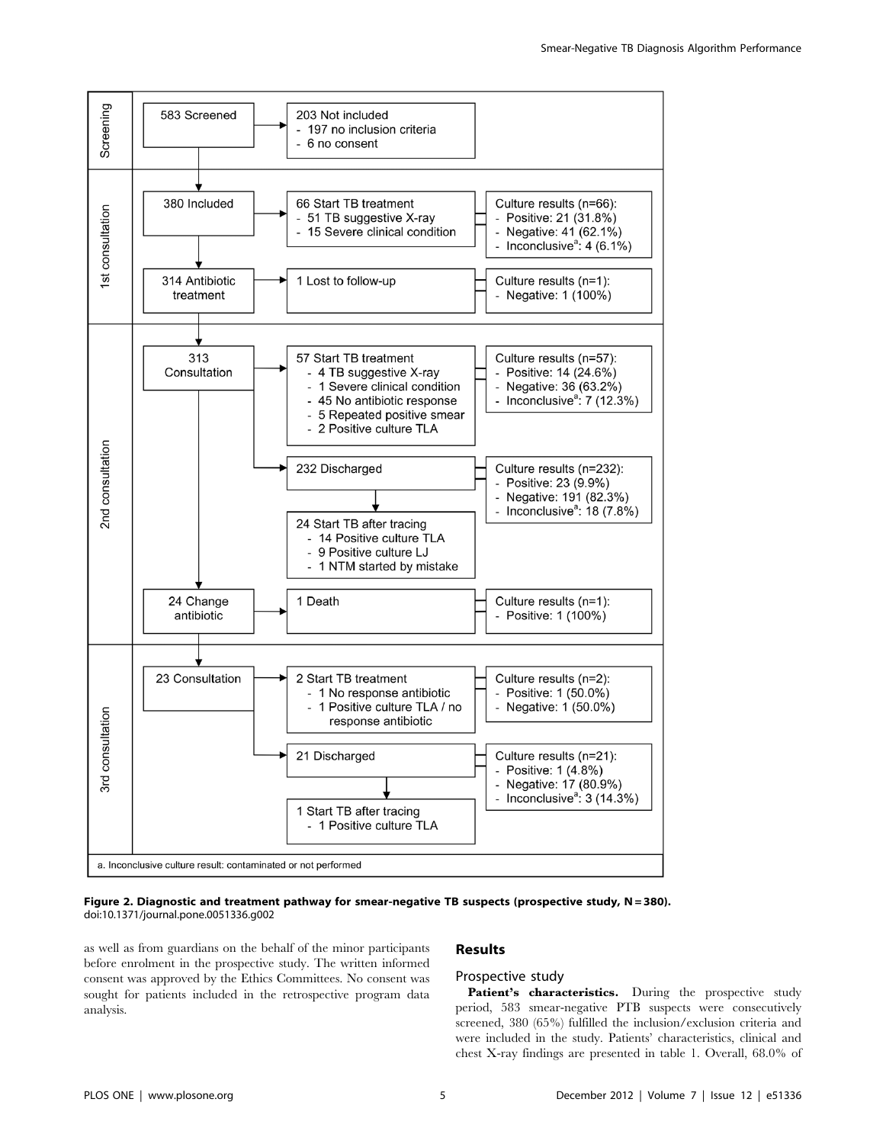

Figure 2. Diagnostic and treatment pathway for smear-negative TB suspects (prospective study, N=380). doi:10.1371/journal.pone.0051336.g002

as well as from guardians on the behalf of the minor participants before enrolment in the prospective study. The written informed consent was approved by the Ethics Committees. No consent was sought for patients included in the retrospective program data analysis.

#### Results

## Prospective study

Patient's characteristics. During the prospective study period, 583 smear-negative PTB suspects were consecutively screened, 380 (65%) fulfilled the inclusion/exclusion criteria and were included in the study. Patients' characteristics, clinical and chest X-ray findings are presented in table 1. Overall, 68.0% of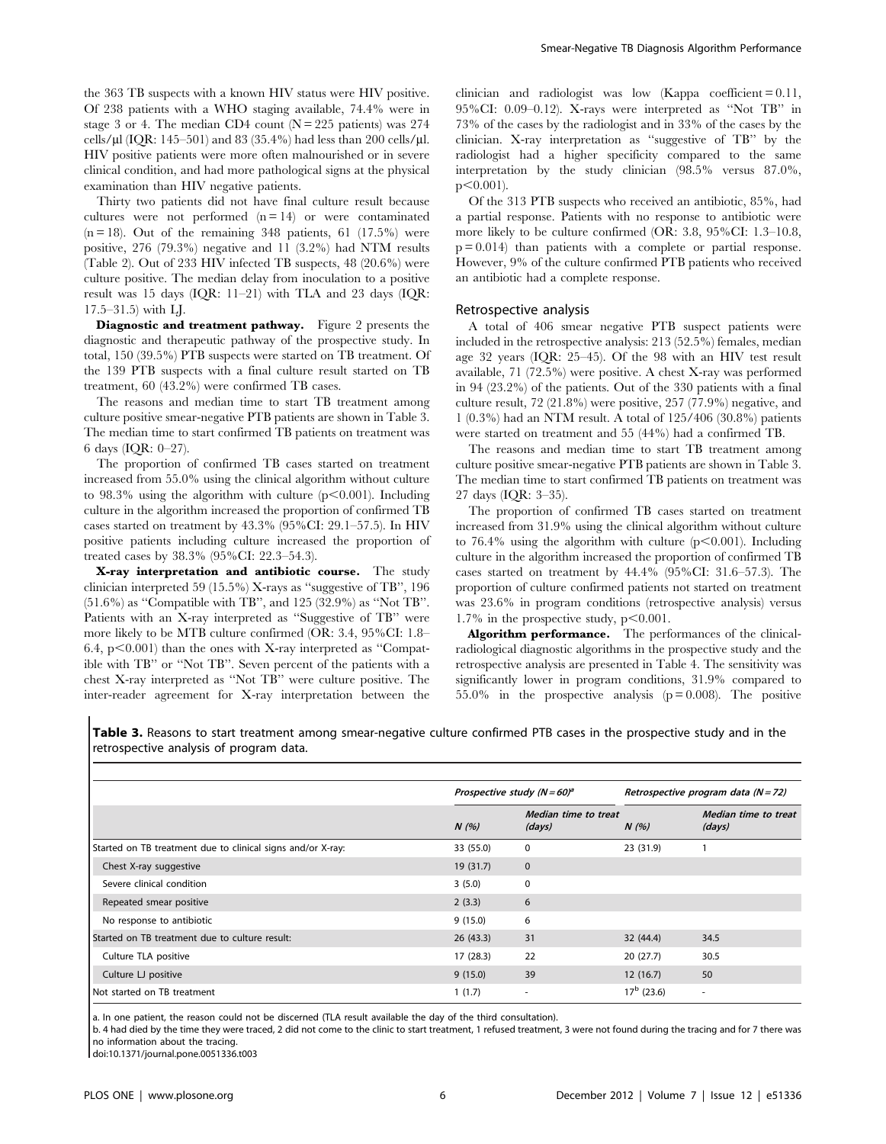the 363 TB suspects with a known HIV status were HIV positive. Of 238 patients with a WHO staging available, 74.4% were in stage 3 or 4. The median CD4 count  $(N = 225$  patients) was 274 cells/ $\mu$ l (IQR: 145–501) and 83 (35.4%) had less than 200 cells/ $\mu$ l. HIV positive patients were more often malnourished or in severe clinical condition, and had more pathological signs at the physical examination than HIV negative patients.

Thirty two patients did not have final culture result because cultures were not performed  $(n = 14)$  or were contaminated  $(n = 18)$ . Out of the remaining 348 patients, 61 (17.5%) were positive, 276 (79.3%) negative and 11 (3.2%) had NTM results (Table 2). Out of 233 HIV infected TB suspects, 48 (20.6%) were culture positive. The median delay from inoculation to a positive result was 15 days (IQR: 11–21) with TLA and 23 days (IQR: 17.5–31.5) with LJ.

Diagnostic and treatment pathway. Figure 2 presents the diagnostic and therapeutic pathway of the prospective study. In total, 150 (39.5%) PTB suspects were started on TB treatment. Of the 139 PTB suspects with a final culture result started on TB treatment, 60 (43.2%) were confirmed TB cases.

The reasons and median time to start TB treatment among culture positive smear-negative PTB patients are shown in Table 3. The median time to start confirmed TB patients on treatment was 6 days (IQR: 0–27).

The proportion of confirmed TB cases started on treatment increased from 55.0% using the clinical algorithm without culture to 98.3% using the algorithm with culture  $(p<0.001)$ . Including culture in the algorithm increased the proportion of confirmed TB cases started on treatment by 43.3% (95%CI: 29.1–57.5). In HIV positive patients including culture increased the proportion of treated cases by 38.3% (95%CI: 22.3–54.3).

X-ray interpretation and antibiotic course. The study clinician interpreted 59 (15.5%) X-rays as ''suggestive of TB'', 196 (51.6%) as ''Compatible with TB'', and 125 (32.9%) as ''Not TB''. Patients with an X-ray interpreted as ''Suggestive of TB'' were more likely to be MTB culture confirmed (OR: 3.4, 95%CI: 1.8– 6.4,  $p<0.001$ ) than the ones with X-ray interpreted as "Compatible with TB'' or ''Not TB''. Seven percent of the patients with a chest X-ray interpreted as ''Not TB'' were culture positive. The inter-reader agreement for X-ray interpretation between the

clinician and radiologist was low (Kappa coefficient  $= 0.11$ , 95%CI: 0.09–0.12). X-rays were interpreted as ''Not TB'' in 73% of the cases by the radiologist and in 33% of the cases by the clinician. X-ray interpretation as ''suggestive of TB'' by the radiologist had a higher specificity compared to the same interpretation by the study clinician (98.5% versus 87.0%,  $p<0.001$ ).

Of the 313 PTB suspects who received an antibiotic, 85%, had a partial response. Patients with no response to antibiotic were more likely to be culture confirmed (OR: 3.8, 95%CI: 1.3–10.8,  $p = 0.014$  than patients with a complete or partial response. However, 9% of the culture confirmed PTB patients who received an antibiotic had a complete response.

#### Retrospective analysis

A total of 406 smear negative PTB suspect patients were included in the retrospective analysis: 213 (52.5%) females, median age 32 years (IQR: 25–45). Of the 98 with an HIV test result available, 71 (72.5%) were positive. A chest X-ray was performed in 94 (23.2%) of the patients. Out of the 330 patients with a final culture result, 72 (21.8%) were positive, 257 (77.9%) negative, and 1 (0.3%) had an NTM result. A total of 125/406 (30.8%) patients were started on treatment and 55 (44%) had a confirmed TB.

The reasons and median time to start TB treatment among culture positive smear-negative PTB patients are shown in Table 3. The median time to start confirmed TB patients on treatment was 27 days (IQR: 3–35).

The proportion of confirmed TB cases started on treatment increased from 31.9% using the clinical algorithm without culture to 76.4% using the algorithm with culture  $(p<0.001)$ . Including culture in the algorithm increased the proportion of confirmed TB cases started on treatment by 44.4% (95%CI: 31.6–57.3). The proportion of culture confirmed patients not started on treatment was 23.6% in program conditions (retrospective analysis) versus 1.7% in the prospective study,  $p<0.001$ .

Algorithm performance. The performances of the clinicalradiological diagnostic algorithms in the prospective study and the retrospective analysis are presented in Table 4. The sensitivity was significantly lower in program conditions, 31.9% compared to 55.0% in the prospective analysis  $(p=0.008)$ . The positive

Table 3. Reasons to start treatment among smear-negative culture confirmed PTB cases in the prospective study and in the retrospective analysis of program data.

|                                                             |           | Prospective study $(N = 60)^a$ |                     | Retrospective program data $(N = 72)$ |  |
|-------------------------------------------------------------|-----------|--------------------------------|---------------------|---------------------------------------|--|
|                                                             | N(%)      | Median time to treat<br>(days) | N(%)                | Median time to treat<br>(days)        |  |
| Started on TB treatment due to clinical signs and/or X-ray: | 33 (55.0) | $\Omega$                       | 23 (31.9)           |                                       |  |
| Chest X-ray suggestive                                      | 19(31.7)  | $\mathbf{0}$                   |                     |                                       |  |
| Severe clinical condition                                   | 3(5.0)    | 0                              |                     |                                       |  |
| Repeated smear positive                                     | 2(3.3)    | 6                              |                     |                                       |  |
| No response to antibiotic                                   | 9(15.0)   | 6                              |                     |                                       |  |
| Started on TB treatment due to culture result:              | 26(43.3)  | 31                             | 32(44.4)            | 34.5                                  |  |
| Culture TLA positive                                        | 17(28.3)  | 22                             | 20(27.7)            | 30.5                                  |  |
| Culture LJ positive                                         | 9(15.0)   | 39                             | 12(16.7)            | 50                                    |  |
| Not started on TB treatment                                 | 1(1.7)    |                                | $17^{\rm b}$ (23.6) | $\sim$                                |  |

a. In one patient, the reason could not be discerned (TLA result available the day of the third consultation).

b. 4 had died by the time they were traced, 2 did not come to the clinic to start treatment, 1 refused treatment, 3 were not found during the tracing and for 7 there was no information about the tracing.

doi:10.1371/journal.pone.0051336.t003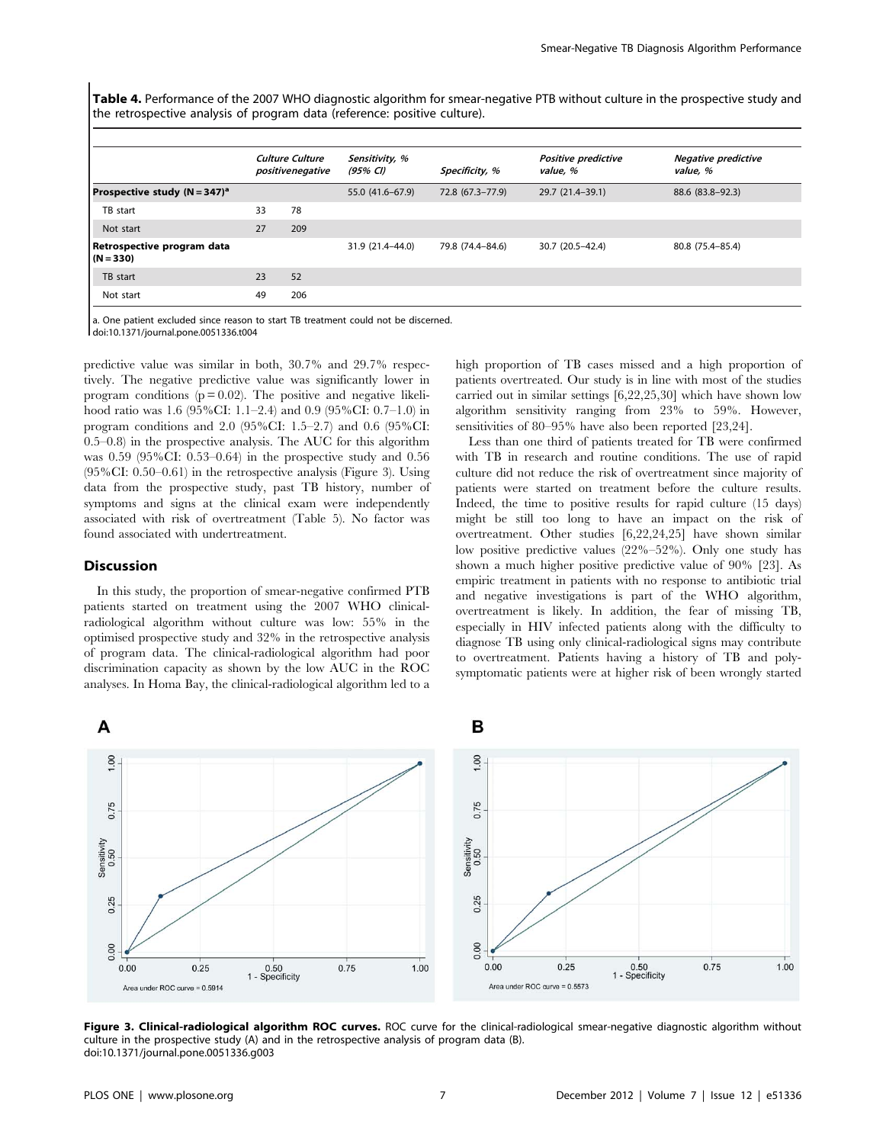Table 4. Performance of the 2007 WHO diagnostic algorithm for smear-negative PTB without culture in the prospective study and the retrospective analysis of program data (reference: positive culture).

|                                           |    | <b>Culture Culture</b><br>positivenegative | Sensitivity, %<br>(95% CI) | Specificity, %   | Positive predictive<br>value, % | <b>Negative predictive</b><br>value, % |
|-------------------------------------------|----|--------------------------------------------|----------------------------|------------------|---------------------------------|----------------------------------------|
| Prospective study $(N = 347)^a$           |    |                                            | 55.0 (41.6–67.9)           | 72.8 (67.3-77.9) | 29.7 (21.4–39.1)                | 88.6 (83.8-92.3)                       |
| TB start                                  | 33 | 78                                         |                            |                  |                                 |                                        |
| Not start                                 | 27 | 209                                        |                            |                  |                                 |                                        |
| Retrospective program data<br>$(N = 330)$ |    |                                            | 31.9 (21.4-44.0)           | 79.8 (74.4-84.6) | 30.7 (20.5-42.4)                | 80.8 (75.4-85.4)                       |
| TB start                                  | 23 | 52                                         |                            |                  |                                 |                                        |
| Not start                                 | 49 | 206                                        |                            |                  |                                 |                                        |
|                                           |    |                                            |                            |                  |                                 |                                        |

a. One patient excluded since reason to start TB treatment could not be discerned.

doi:10.1371/journal.pone.0051336.t004

predictive value was similar in both, 30.7% and 29.7% respectively. The negative predictive value was significantly lower in program conditions ( $p = 0.02$ ). The positive and negative likelihood ratio was 1.6 (95%CI: 1.1–2.4) and 0.9 (95%CI: 0.7–1.0) in program conditions and 2.0 (95%CI: 1.5–2.7) and 0.6 (95%CI: 0.5–0.8) in the prospective analysis. The AUC for this algorithm was 0.59 (95%CI: 0.53–0.64) in the prospective study and 0.56 (95%CI: 0.50–0.61) in the retrospective analysis (Figure 3). Using data from the prospective study, past TB history, number of symptoms and signs at the clinical exam were independently associated with risk of overtreatment (Table 5). No factor was found associated with undertreatment.

#### **Discussion**

In this study, the proportion of smear-negative confirmed PTB patients started on treatment using the 2007 WHO clinicalradiological algorithm without culture was low: 55% in the optimised prospective study and 32% in the retrospective analysis of program data. The clinical-radiological algorithm had poor discrimination capacity as shown by the low AUC in the ROC analyses. In Homa Bay, the clinical-radiological algorithm led to a high proportion of TB cases missed and a high proportion of patients overtreated. Our study is in line with most of the studies carried out in similar settings [6,22,25,30] which have shown low algorithm sensitivity ranging from 23% to 59%. However, sensitivities of 80–95% have also been reported [23,24].

Less than one third of patients treated for TB were confirmed with TB in research and routine conditions. The use of rapid culture did not reduce the risk of overtreatment since majority of patients were started on treatment before the culture results. Indeed, the time to positive results for rapid culture (15 days) might be still too long to have an impact on the risk of overtreatment. Other studies [6,22,24,25] have shown similar low positive predictive values (22%–52%). Only one study has shown a much higher positive predictive value of 90% [23]. As empiric treatment in patients with no response to antibiotic trial and negative investigations is part of the WHO algorithm, overtreatment is likely. In addition, the fear of missing TB, especially in HIV infected patients along with the difficulty to diagnose TB using only clinical-radiological signs may contribute to overtreatment. Patients having a history of TB and polysymptomatic patients were at higher risk of been wrongly started



Figure 3. Clinical-radiological algorithm ROC curves. ROC curve for the clinical-radiological smear-negative diagnostic algorithm without culture in the prospective study (A) and in the retrospective analysis of program data (B). doi:10.1371/journal.pone.0051336.g003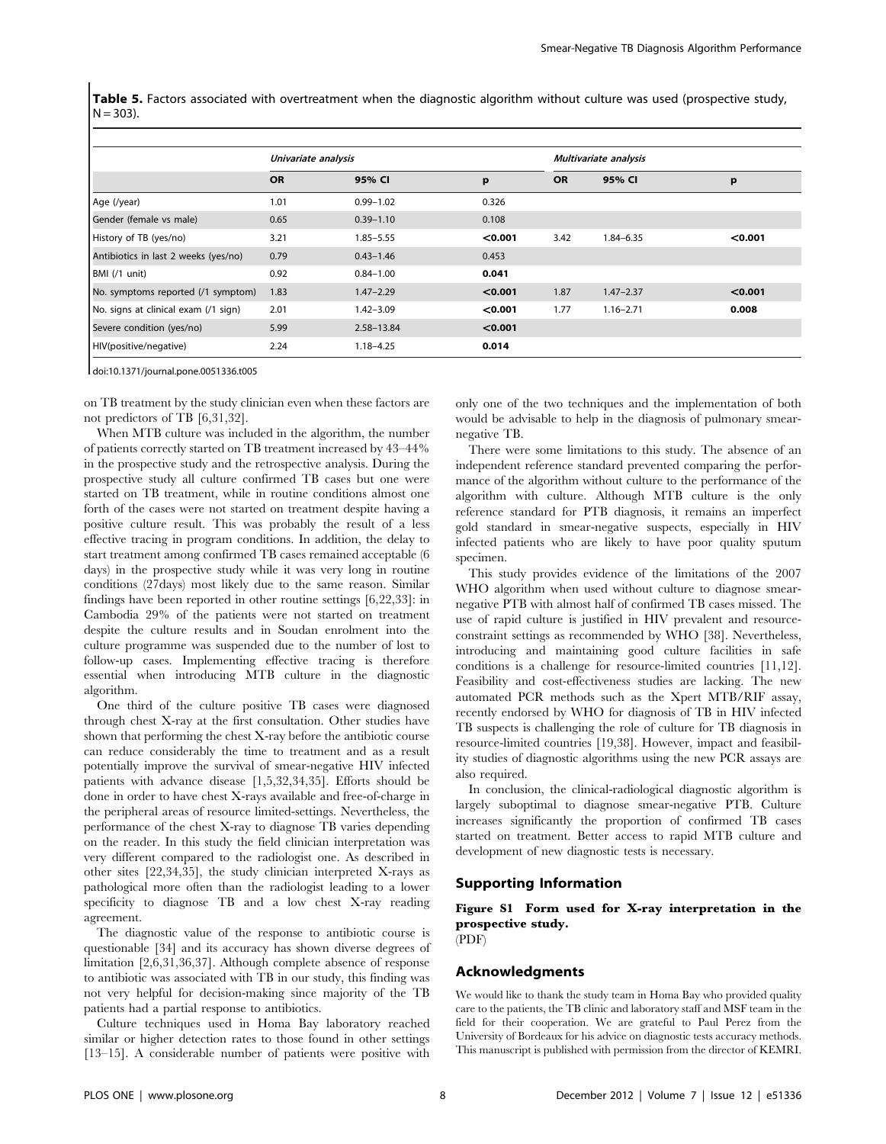Table 5. Factors associated with overtreatment when the diagnostic algorithm without culture was used (prospective study,  $N = 303$ ).

|                                      | Univariate analysis |               |         | Multivariate analysis |               |         |
|--------------------------------------|---------------------|---------------|---------|-----------------------|---------------|---------|
|                                      | <b>OR</b>           | 95% CI        | p       | <b>OR</b>             | 95% CI        | p       |
| Age (/year)                          | 1.01                | $0.99 - 1.02$ | 0.326   |                       |               |         |
| Gender (female vs male)              | 0.65                | $0.39 - 1.10$ | 0.108   |                       |               |         |
| History of TB (yes/no)               | 3.21                | $1.85 - 5.55$ | < 0.001 | 3.42                  | $1.84 - 6.35$ | < 0.001 |
| Antibiotics in last 2 weeks (yes/no) | 0.79                | $0.43 - 1.46$ | 0.453   |                       |               |         |
| BMI (/1 unit)                        | 0.92                | $0.84 - 1.00$ | 0.041   |                       |               |         |
| No. symptoms reported (/1 symptom)   | 1.83                | $1.47 - 2.29$ | < 0.001 | 1.87                  | $1.47 - 2.37$ | < 0.001 |
| No. signs at clinical exam (/1 sign) | 2.01                | $1.42 - 3.09$ | < 0.001 | 1.77                  | $1.16 - 2.71$ | 0.008   |
| Severe condition (yes/no)            | 5.99                | 2.58-13.84    | < 0.001 |                       |               |         |
| HIV(positive/negative)               | 2.24                | 1.18-4.25     | 0.014   |                       |               |         |

doi:10.1371/journal.pone.0051336.t005

on TB treatment by the study clinician even when these factors are not predictors of TB [6,31,32].

When MTB culture was included in the algorithm, the number of patients correctly started on TB treatment increased by 43–44% in the prospective study and the retrospective analysis. During the prospective study all culture confirmed TB cases but one were started on TB treatment, while in routine conditions almost one forth of the cases were not started on treatment despite having a positive culture result. This was probably the result of a less effective tracing in program conditions. In addition, the delay to start treatment among confirmed TB cases remained acceptable (6 days) in the prospective study while it was very long in routine conditions (27days) most likely due to the same reason. Similar findings have been reported in other routine settings [6,22,33]: in Cambodia 29% of the patients were not started on treatment despite the culture results and in Soudan enrolment into the culture programme was suspended due to the number of lost to follow-up cases. Implementing effective tracing is therefore essential when introducing MTB culture in the diagnostic algorithm.

One third of the culture positive TB cases were diagnosed through chest X-ray at the first consultation. Other studies have shown that performing the chest X-ray before the antibiotic course can reduce considerably the time to treatment and as a result potentially improve the survival of smear-negative HIV infected patients with advance disease [1,5,32,34,35]. Efforts should be done in order to have chest X-rays available and free-of-charge in the peripheral areas of resource limited-settings. Nevertheless, the performance of the chest X-ray to diagnose TB varies depending on the reader. In this study the field clinician interpretation was very different compared to the radiologist one. As described in other sites [22,34,35], the study clinician interpreted X-rays as pathological more often than the radiologist leading to a lower specificity to diagnose TB and a low chest X-ray reading agreement.

The diagnostic value of the response to antibiotic course is questionable [34] and its accuracy has shown diverse degrees of limitation [2,6,31,36,37]. Although complete absence of response to antibiotic was associated with TB in our study, this finding was not very helpful for decision-making since majority of the TB patients had a partial response to antibiotics.

Culture techniques used in Homa Bay laboratory reached similar or higher detection rates to those found in other settings [13–15]. A considerable number of patients were positive with only one of the two techniques and the implementation of both would be advisable to help in the diagnosis of pulmonary smearnegative TB.

There were some limitations to this study. The absence of an independent reference standard prevented comparing the performance of the algorithm without culture to the performance of the algorithm with culture. Although MTB culture is the only reference standard for PTB diagnosis, it remains an imperfect gold standard in smear-negative suspects, especially in HIV infected patients who are likely to have poor quality sputum specimen.

This study provides evidence of the limitations of the 2007 WHO algorithm when used without culture to diagnose smearnegative PTB with almost half of confirmed TB cases missed. The use of rapid culture is justified in HIV prevalent and resourceconstraint settings as recommended by WHO [38]. Nevertheless, introducing and maintaining good culture facilities in safe conditions is a challenge for resource-limited countries [11,12]. Feasibility and cost-effectiveness studies are lacking. The new automated PCR methods such as the Xpert MTB/RIF assay, recently endorsed by WHO for diagnosis of TB in HIV infected TB suspects is challenging the role of culture for TB diagnosis in resource-limited countries [19,38]. However, impact and feasibility studies of diagnostic algorithms using the new PCR assays are also required.

In conclusion, the clinical-radiological diagnostic algorithm is largely suboptimal to diagnose smear-negative PTB. Culture increases significantly the proportion of confirmed TB cases started on treatment. Better access to rapid MTB culture and development of new diagnostic tests is necessary.

#### Supporting Information

# Figure S1 Form used for X-ray interpretation in the prospective study.

(PDF)

## Acknowledgments

We would like to thank the study team in Homa Bay who provided quality care to the patients, the TB clinic and laboratory staff and MSF team in the field for their cooperation. We are grateful to Paul Perez from the University of Bordeaux for his advice on diagnostic tests accuracy methods. This manuscript is published with permission from the director of KEMRI.